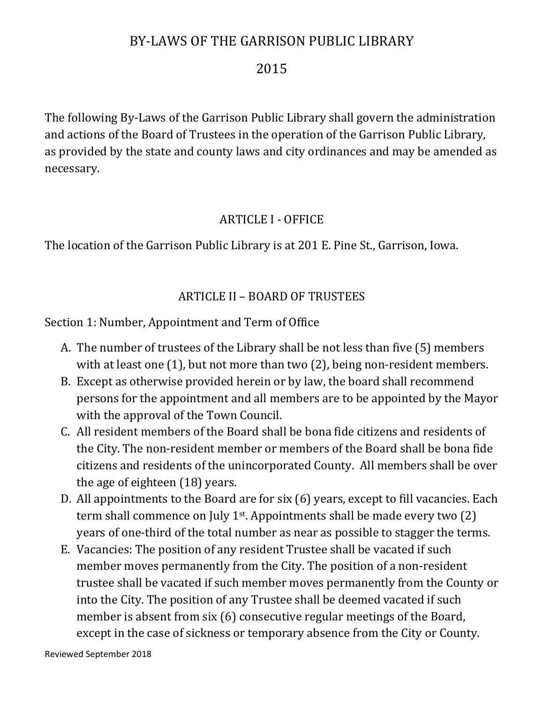# BY-LAWS OF THE GARRISON PUBLIC LIBRARY

#### 2015

The following By-Laws of the Garrison Public Library shall govern the administration and actions of the Board of Trustees in the operation of the Garrison Public Library, as provided by the state and county laws and city ordinances and may be amended as necessary.

#### ARTICLE I - OFFICE

The location of the Garrison Public Library is at 201 E. Pine St., Garrison, Iowa.

### ARTICLE II – BOARD OF TRUSTEES

Section 1: Number, Appointment and Term of Office

- A. The number of trustees of the Library shall be not less than five (5) members with at least one (1), but not more than two (2), being non-resident members.
- B. Except as otherwise provided herein or by law, the board shall recommend persons for the appointment and all members are to be appointed by the Mayor with the approval of the Town Council.
- C. All resident members of the Board shall be bona fide citizens and residents of the City. The non-resident member or members of the Board shall be bona fide citizens and residents of the unincorporated County. All members shall be over the age of eighteen (18) years.
- D. All appointments to the Board are for six (6) years, except to fill vacancies. Each term shall commence on July 1st. Appointments shall be made every two (2) years of one-third of the total number as near as possible to stagger the terms.
- E. Vacancies: The position of any resident Trustee shall be vacated if such member moves permanently from the City. The position of a non-resident trustee shall be vacated if such member moves permanently from the County or into the City. The position of any Trustee shall be deemed vacated if such member is absent from six (6) consecutive regular meetings of the Board, except in the case of sickness or temporary absence from the City or County.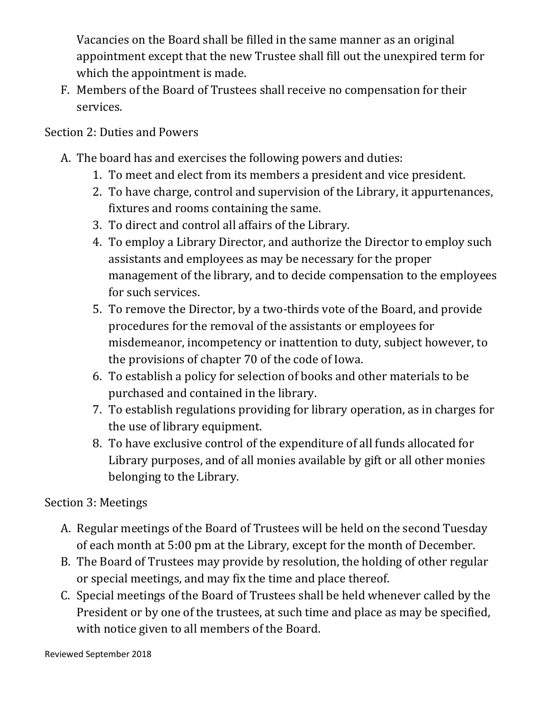Vacancies on the Board shall be filled in the same manner as an original appointment except that the new Trustee shall fill out the unexpired term for which the appointment is made.

F. Members of the Board of Trustees shall receive no compensation for their services.

### Section 2: Duties and Powers

- A. The board has and exercises the following powers and duties:
	- 1. To meet and elect from its members a president and vice president.
	- 2. To have charge, control and supervision of the Library, it appurtenances, fixtures and rooms containing the same.
	- 3. To direct and control all affairs of the Library.
	- 4. To employ a Library Director, and authorize the Director to employ such assistants and employees as may be necessary for the proper management of the library, and to decide compensation to the employees for such services.
	- 5. To remove the Director, by a two-thirds vote of the Board, and provide procedures for the removal of the assistants or employees for misdemeanor, incompetency or inattention to duty, subject however, to the provisions of chapter 70 of the code of Iowa.
	- 6. To establish a policy for selection of books and other materials to be purchased and contained in the library.
	- 7. To establish regulations providing for library operation, as in charges for the use of library equipment.
	- 8. To have exclusive control of the expenditure of all funds allocated for Library purposes, and of all monies available by gift or all other monies belonging to the Library.

### Section 3: Meetings

- A. Regular meetings of the Board of Trustees will be held on the second Tuesday of each month at 5:00 pm at the Library, except for the month of December.
- B. The Board of Trustees may provide by resolution, the holding of other regular or special meetings, and may fix the time and place thereof.
- C. Special meetings of the Board of Trustees shall be held whenever called by the President or by one of the trustees, at such time and place as may be specified, with notice given to all members of the Board.